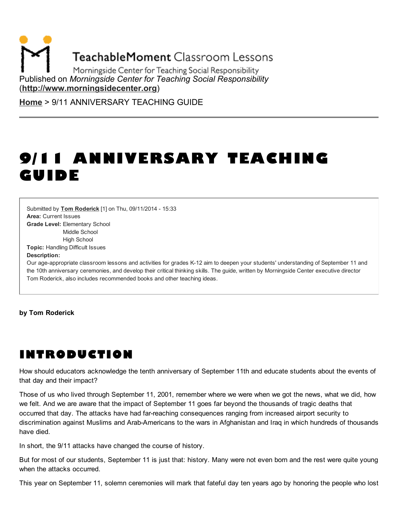**TeachableMoment Classroom Lessons** 

Morningside Center for Teaching Social Responsibility Published on *Morningside Center for Teaching Social Responsibility* [\(http://www.morningsidecenter.org](http://www.morningsidecenter.org/))

[Home](http://www.morningsidecenter.org/) > 9/11 ANNIVERSARY TEACHING GUIDE

# 9/11 ANNIVERSARY TEACHING GUIDE

Area: Current Issues Grade Level: Elementary School Middle School High School Topic: Handling Difficult Issues Submitted by **Tom [Roderick](http://www.morningsidecenter.org/users/tom-roderick)** [1] on Thu, 09/11/2014 - 15:33

Description:

Our age-appropriate classroom lessons and activities for grades K-12 aim to deepen your students' understanding of September 11 and the 10th anniversary ceremonies, and develop their critical thinking skills. The guide, written by Morningside Center executive director Tom Roderick, also includes recommended books and other teaching ideas.

by Tom Roderick

# INTRODUCTION

How should educators acknowledge the tenth anniversary of September 11th and educate students about the events of that day and their impact?

Those of us who lived through September 11, 2001, remember where we were when we got the news, what we did, how we felt. And we are aware that the impact of September 11 goes far beyond the thousands of tragic deaths that occurred that day. The attacks have had far-reaching consequences ranging from increased airport security to discrimination against Muslims and Arab-Americans to the wars in Afghanistan and Iraq in which hundreds of thousands have died.

In short, the 9/11 attacks have changed the course of history.

But for most of our students, September 11 is just that: history. Many were not even born and the rest were quite young when the attacks occurred.

This year on September 11, solemn ceremonies will mark that fateful day ten years ago by honoring the people who lost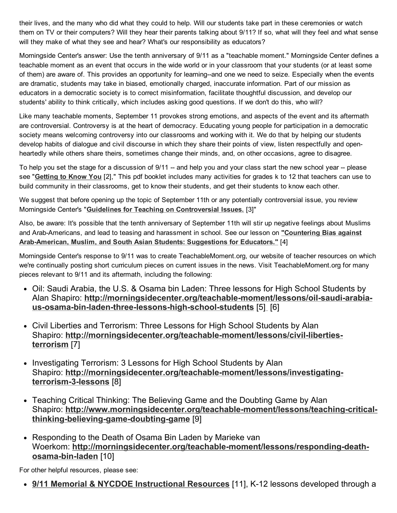their lives, and the many who did what they could to help. Will our students take part in these ceremonies or watch them on TV or their computers? Will they hear their parents talking about 9/11? If so, what will they feel and what sense will they make of what they see and hear? What's our responsibility as educators?

Morningside Center's answer: Use the tenth anniversary of 9/11 as a "teachable moment." Morningside Center defines a teachable moment as an event that occurs in the wide world or in your classroom that your students (or at least some of them) are aware of. This provides an opportunity for learning--and one we need to seize. Especially when the events are dramatic, students may take in biased, emotionally charged, inaccurate information. Part of our mission as educators in a democratic society is to correct misinformation, facilitate thoughtful discussion, and develop our students' ability to think critically, which includes asking good questions. If we don't do this, who will?

Like many teachable moments, September 11 provokes strong emotions, and aspects of the event and its aftermath are controversial. Controversy is at the heart of democracy. Educating young people for participation in a democratic society means welcoming controversy into our classrooms and working with it. We do that by helping our students develop habits of dialogue and civil discourse in which they share their points of view, listen respectfully and openheartedly while others share theirs, sometimes change their minds, and, on other occasions, agree to disagree.

To help you set the stage for a discussion of 9/11 -- and help you and your class start the new school year -- please see "[Getting](http://morningsidecenter.org/teachable-moment/lessons/getting-know-you-classroom-activities-starting-school-year) to Know You [2]," This pdf booklet includes many activities for grades k to 12 that teachers can use to build community in their classrooms, get to know their students, and get their students to know each other.

We suggest that before opening up the topic of September 11th or any potentially controversial issue, you review Morningside Center's "Guidelines for Teaching on [Controversial](http://morningsidecenter.org/teachable-moment/lessons/teaching-controversial-issues) Issues. [3]"

Also, be aware: It's possible that the tenth anniversary of September 11th will stir up negative feelings about Muslims and [Arab-Americans,](http://morningsidecenter.org/teachable-moment/lessons/countering-anti-muslim-anti-arab-bias-our-schools) and lead to teasing and harassment in school. See our lesson on "Countering Bias against Arab-American, Muslim, and South Asian Students: Suggestions for Educators." [4]

Morningside Center's response to 9/11 was to create TeachableMoment.org, our website of teacher resources on which we're continually posting short curriculum pieces on current issues in the news. Visit TeachableMoment.org for many pieces relevant to 9/11 and its aftermath, including the following:

- Oil: Saudi Arabia, the U.S. & Osama bin Laden: Three lessons for High School Students by Alan Shapiro: [http://morningsidecenter.org/teachable-moment/lessons/oil-saudi-arabia](http://morningsidecenter.org/teachable-moment/lessons/oil-saudi-arabia-us-osama-bin-laden-three-lessons-high-school-students)us-osama-bin-laden-three-lessons-high-school-students [5[\]](http://www.teachablemoment.org/high/oil.html) [6]
- Civil Liberties and Terrorism: Three Lessons for High School Students by Alan Shapiro: [http://morningsidecenter.org/teachable-moment/lessons/civil-liberties](http://morningsidecenter.org/teachable-moment/lessons/civil-liberties-terrorism)terrorism [7]
- Investigating Terrorism: 3 Lessons for High School Students by Alan Shapiro: [http://morningsidecenter.org/teachable-moment/lessons/investigating](http://morningsidecenter.org/teachable-moment/lessons/investigating-terrorism-3-lessons)terrorism-3-lessons [8]
- Teaching Critical Thinking: The Believing Game and the Doubting Game by Alan Shapiro: [http://www.morningsidecenter.org/teachable-moment/lessons/teaching-critical](http://www.morningsidecenter.org/teachable-moment/lessons/teaching-critical-thinking-believing-game-doubting-game)thinking-believing-game-doubting-game [9]
- Responding to the Death of Osama Bin Laden by Marieke van Woerkom: [http://morningsidecenter.org/teachable-moment/lessons/responding-death](http://morningsidecenter.org/teachable-moment/lessons/responding-death-osama-bin-laden)osama-bin-laden [10]

For other helpful resources, please see:

• 9/11 Memorial & NYCDOE [Instructional](http://www.911memorial.org/lesson-plans) Resources [11], K-12 lessons developed through a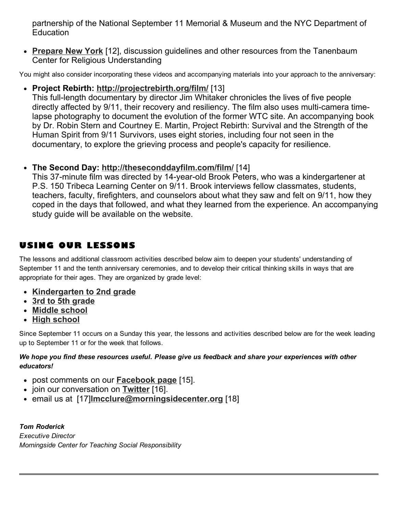partnership of the National September 11 Memorial & Museum and the NYC Department of **Education** 

• [Prepare](https://www.tanenbaum.org/prepareny) New York [12], discussion guidelines and other resources from the Tanenbaum Center for Religious Understanding

You might also consider incorporating these videos and accompanying materials into your approach to the anniversary:

• Project Rebirth: <http://projectrebirth.org/film/> [13]

This full-length documentary by director Jim Whitaker chronicles the lives of five people directly affected by 9/11, their recovery and resiliency. The film also uses multi-camera timelapse photography to document the evolution of the former WTC site. An accompanying book by Dr. Robin Stern and Courtney E. Martin, Project Rebirth: Survival and the Strength of the Human Spirit from 9/11 Survivors, uses eight stories, including four not seen in the documentary, to explore the grieving process and people's capacity for resilience.

• The Second Day: <http://theseconddayfilm.com/film/> [14]

This 37-minute film was directed by 14-year-old Brook Peters, who was a kindergartener at P.S. 150 Tribeca Learning Center on 9/11. Brook interviews fellow classmates, students, teachers, faculty, firefighters, and counselors about what they saw and felt on 9/11, how they coped in the days that followed, and what they learned from the experience. An accompanying study guide will be available on the website.

## USING OUR LESSONS

The lessons and additional classroom activities described below aim to deepen your students' understanding of September 11 and the tenth anniversary ceremonies, and to develop their critical thinking skills in ways that are appropriate for their ages. They are organized by grade level:

- [Kindergarten](http://www.morningsidecenter.org/print/498#K2) to 2nd grade
- 3rd to 5th [grade](http://www.morningsidecenter.org/print/498#3to5)
- Middle [school](http://www.morningsidecenter.org/print/498#middle)
- High [school](http://www.morningsidecenter.org/print/498#high)

Since September 11 occurs on a Sunday this year, the lessons and activities described below are for the week leading up to September 11 or for the week that follows.

#### *We hope you find these resources useful. Please give us feedback and share your experiences with other educators!*

- post comments on our **[Facebook](http://www.facebook.com/pages/Morningside-Center-for-Teaching-Social-Responsibility/197267860293889) page** [15].
- join our conversation on [Twitter](http://twitter.com/#!/MorningsideCtr) [16].
- email us at [17] Imcclure@morningsidecenter.org [18]

*Tom Roderick Executive Director Morningside Center for Teaching Social Responsibility*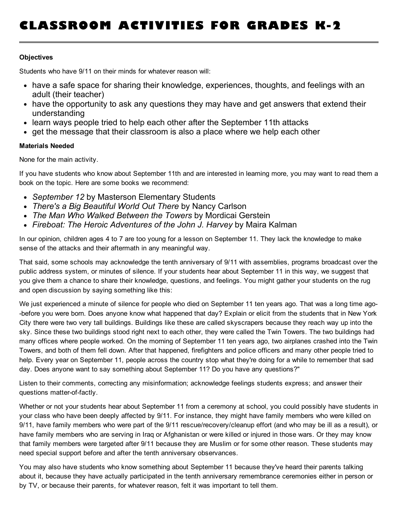# CLASSROOM ACTIVITIES FOR GRADES K-2

#### **Objectives**

Students who have 9/11 on their minds for whatever reason will:

- have a safe space for sharing their knowledge, experiences, thoughts, and feelings with an adult (their teacher)
- have the opportunity to ask any questions they may have and get answers that extend their understanding
- learn ways people tried to help each other after the September 11th attacks
- get the message that their classroom is also a place where we help each other

#### Materials Needed

None for the main activity.

If you have students who know about September 11th and are interested in learning more, you may want to read them a book on the topic. Here are some books we recommend:

- *September 12* by Masterson Elementary Students
- *There's a Big Beautiful World Out There* by Nancy Carlson
- *The Man Who Walked Between the Towers* by Mordicai Gerstein
- *Fireboat: The Heroic Adventures of the John J. Harvey* by Maira Kalman

In our opinion, children ages 4 to 7 are too young for a lesson on September 11. They lack the knowledge to make sense of the attacks and their aftermath in any meaningful way.

That said, some schools may acknowledge the tenth anniversary of 9/11 with assemblies, programs broadcast over the public address system, or minutes of silence. If your students hear about September 11 in this way, we suggest that you give them a chance to share their knowledge, questions, and feelings. You might gather your students on the rug and open discussion by saying something like this:

We just experienced a minute of silence for people who died on September 11 ten years ago. That was a long time ago- -before you were born. Does anyone know what happened that day? Explain or elicit from the students that in New York City there were two very tall buildings. Buildings like these are called skyscrapers because they reach way up into the sky. Since these two buildings stood right next to each other, they were called the Twin Towers. The two buildings had many offices where people worked. On the morning of September 11 ten years ago, two airplanes crashed into the Twin Towers, and both of them fell down. After that happened, firefighters and police officers and many other people tried to help. Every year on September 11, people across the country stop what they're doing for a while to remember that sad day. Does anyone want to say something about September 11? Do you have any questions?"

Listen to their comments, correcting any misinformation; acknowledge feelings students express; and answer their questions matter-of-factly.

Whether or not your students hear about September 11 from a ceremony at school, you could possibly have students in your class who have been deeply affected by 9/11. For instance, they might have family members who were killed on 9/11, have family members who were part of the 9/11 rescue/recovery/cleanup effort (and who may be ill as a result), or have family members who are serving in Iraq or Afghanistan or were killed or injured in those wars. Or they may know that family members were targeted after 9/11 because they are Muslim or for some other reason. These students may need special support before and after the tenth anniversary observances.

You may also have students who know something about September 11 because they've heard their parents talking about it, because they have actually participated in the tenth anniversary remembrance ceremonies either in person or by TV, or because their parents, for whatever reason, felt it was important to tell them.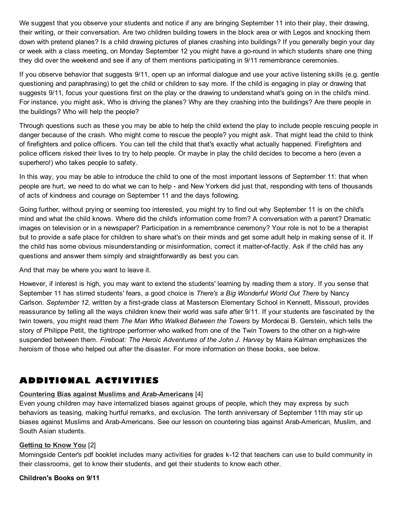We suggest that you observe your students and notice if any are bringing September 11 into their play, their drawing, their writing, or their conversation. Are two children building towers in the block area or with Legos and knocking them down with pretend planes? Is a child drawing pictures of planes crashing into buildings? If you generally begin your day or week with a class meeting, on Monday September 12 you might have a go-round in which students share one thing they did over the weekend and see if any of them mentions participating in 9/11 remembrance ceremonies.

If you observe behavior that suggests 9/11, open up an informal dialogue and use your active listening skills (e.g. gentle questioning and paraphrasing) to get the child or children to say more. If the child is engaging in play or drawing that suggests 9/11, focus your questions first on the play or the drawing to understand what's going on in the child's mind. For instance, you might ask, Who is driving the planes? Why are they crashing into the buildings? Are there people in the buildings? Who will help the people?

Through questions such as these you may be able to help the child extend the play to include people rescuing people in danger because of the crash. Who might come to rescue the people? you might ask. That might lead the child to think of firefighters and police officers. You can tell the child that that's exactly what actually happened. Firefighters and police officers risked their lives to try to help people. Or maybe in play the child decides to become a hero (even a superhero!) who takes people to safety.

In this way, you may be able to introduce the child to one of the most important lessons of September 11: that when people are hurt, we need to do what we can to help - and New Yorkers did just that, responding with tens of thousands of acts of kindness and courage on September 11 and the days following.

Going further, without prying or seeming too interested, you might try to find out why September 11 is on the child's mind and what the child knows. Where did the child's information come from? A conversation with a parent? Dramatic images on television or in a newspaper? Participation in a remembrance ceremony? Your role is not to be a therapist but to provide a safe place for children to share what's on their minds and get some adult help in making sense of it. If the child has some obvious misunderstanding or misinformation, correct it matter-of-factly. Ask if the child has any questions and answer them simply and straightforwardly as best you can.

And that may be where you want to leave it.

However, if interest is high, you may want to extend the students' learning by reading them a story. If you sense that September 11 has stirred students' fears, a good choice is *There's a Big Wonderful World Out There* by Nancy Carlson. *September 12*, written by a first-grade class at Masterson Elementary School in Kennett, Missouri, provides reassurance by telling all the ways children knew their world was safe after 9/11. If your students are fascinated by the twin towers, you might read them *The Man Who Walked Between the Towers* by Mordecai B. Gerstein, which tells the story of Philippe Petit, the tightrope performer who walked from one of the Twin Towers to the other on a high-wire suspended between them. *Fireboat: The Heroic Adventures of the John J. Harvey* by Maira Kalman emphasizes the heroism of those who helped out after the disaster. For more information on these books, see below.

## ADDITIONAL ACTIVITIES

#### Countering Bias against Muslims and [Arab-Americans](http://morningsidecenter.org/teachable-moment/lessons/countering-anti-muslim-anti-arab-bias-our-schools) [4]

Even young children may have internalized biases against groups of people, which they may express by such behaviors as teasing, making hurtful remarks, and exclusion. The tenth anniversary of September 11th may stir up biases against Muslims and Arab-Americans. See our lesson on countering bias against Arab-American, Muslim, and South Asian students.

#### [Getting](http://morningsidecenter.org/teachable-moment/lessons/getting-know-you-classroom-activities-starting-school-year) to Know You [2]

Morningside Center's pdf booklet includes many activities for grades k-12 that teachers can use to build community in their classrooms, get to know their students, and get their students to know each other.

Children's Books on 9/11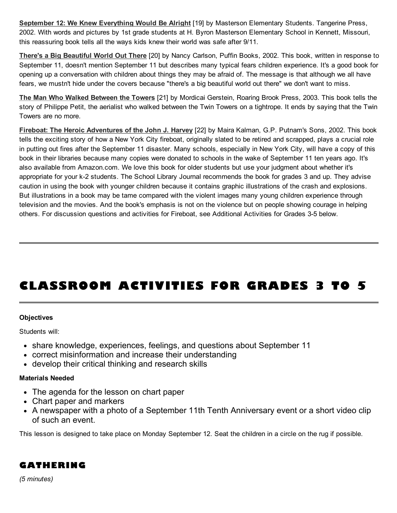September 12: We Knew [Everything](http://www.amazon.com/September-12th-Everything-Would-Right/dp/043944246X/ref=sr_1_1?s=books&ie=UTF8&qid=1314118915&sr=1-1) Would Be Alright [19] by Masterson Elementary Students. Tangerine Press, 2002. With words and pictures by 1st grade students at H. Byron Masterson Elementary School in Kennett, Missouri, this reassuring book tells all the ways kids knew their world was safe after 9/11.

There's a Big [Beautiful](http://www.amazon.com/Theres-Big-Beautiful-World-There/dp/0142401846) World Out There [20] by Nancy Carlson, Puffin Books, 2002. This book, written in response to September 11, doesn't mention September 11 but describes many typical fears children experience. It's a good book for opening up a conversation with children about things they may be afraid of. The message is that although we all have fears, we mustn't hide under the covers because "there's a big beautiful world out there" we don't want to miss.

The Man Who Walked [Between](http://www.amazon.com/Man-Who-Walked-Between-Towers/dp/031236878X/ref=sr_1_1?s=books&ie=UTF8&qid=1314108914&sr=1-1) the Towers [21] by Mordicai Gerstein, Roaring Brook Press, 2003. This book tells the story of Philippe Petit, the aerialist who walked between the Twin Towers on a tightrope. It ends by saying that the Twin Towers are no more.

Fireboat: The Heroic [Adventures](http://www.amazon.com/FIREBOAT-Heroic-Adventures-Harvey-Globe-Horn/dp/0399239537) of the John J. Harvey [22] by Maira Kalman, G.P. Putnam's Sons, 2002. This book tells the exciting story of how a New York City fireboat, originally slated to be retired and scrapped, plays a crucial role in putting out fires after the September 11 disaster. Many schools, especially in New York City, will have a copy of this book in their libraries because many copies were donated to schools in the wake of September 11 ten years ago. It's also available from Amazon.com. We love this book for older students but use your judgment about whether it's appropriate for your k-2 students. The School Library Journal recommends the book for grades 3 and up. They advise caution in using the book with younger children because it contains graphic illustrations of the crash and explosions. But illustrations in a book may be tame compared with the violent images many young children experience through television and the movies. And the book's emphasis is not on the violence but on people showing courage in helping others. For discussion questions and activities for Fireboat, see Additional Activities for Grades 3-5 below.

# CLASSROOM ACTIVITIES FOR GRADES 3 TO 5

#### **Objectives**

Students will:

- share knowledge, experiences, feelings, and questions about September 11
- correct misinformation and increase their understanding
- develop their critical thinking and research skills

#### Materials Needed

- The agenda for the lesson on chart paper
- Chart paper and markers
- A newspaper with a photo of a September 11th Tenth Anniversary event or a short video clip of such an event.

This lesson is designed to take place on Monday September 12. Seat the children in a circle on the rug if possible.

### GATHERING

*(5 minutes)*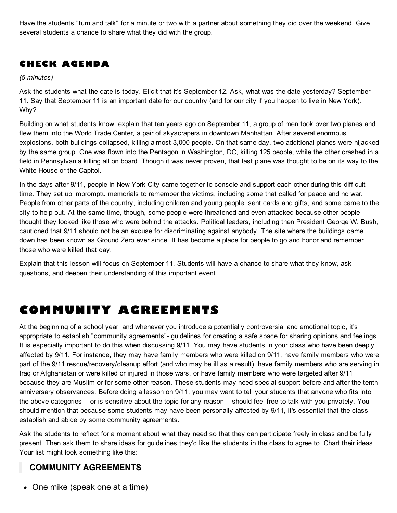Have the students "turn and talk" for a minute or two with a partner about something they did over the weekend. Give several students a chance to share what they did with the group.

## CHECK AGENDA

*(5 minutes)*

Ask the students what the date is today. Elicit that it's September 12. Ask, what was the date yesterday? September 11. Say that September 11 is an important date for our country (and for our city if you happen to live in New York). Why?

Building on what students know, explain that ten years ago on September 11, a group of men took over two planes and flew them into the World Trade Center, a pair of skyscrapers in downtown Manhattan. After several enormous explosions, both buildings collapsed, killing almost 3,000 people. On that same day, two additional planes were hijacked by the same group. One was flown into the Pentagon in Washington, DC, killing 125 people, while the other crashed in a field in Pennsylvania killing all on board. Though it was never proven, that last plane was thought to be on its way to the White House or the Capitol.

In the days after 9/11, people in New York City came together to console and support each other during this difficult time. They set up impromptu memorials to remember the victims, including some that called for peace and no war. People from other parts of the country, including children and young people, sent cards and gifts, and some came to the city to help out. At the same time, though, some people were threatened and even attacked because other people thought they looked like those who were behind the attacks. Political leaders, including then President George W. Bush, cautioned that 9/11 should not be an excuse for discriminating against anybody. The site where the buildings came down has been known as Ground Zero ever since. It has become a place for people to go and honor and remember those who were killed that day.

Explain that this lesson will focus on September 11. Students will have a chance to share what they know, ask questions, and deepen their understanding of this important event.

# COMMUNITY AGREEMENTS

At the beginning of a school year, and whenever you introduce a potentially controversial and emotional topic, it's appropriate to establish "community agreements"- guidelines for creating a safe space for sharing opinions and feelings. It is especially important to do this when discussing 9/11. You may have students in your class who have been deeply affected by 9/11. For instance, they may have family members who were killed on 9/11, have family members who were part of the 9/11 rescue/recovery/cleanup effort (and who may be ill as a result), have family members who are serving in Iraq or Afghanistan or were killed or injured in those wars, or have family members who were targeted after 9/11 because they are Muslim or for some other reason. These students may need special support before and after the tenth anniversary observances. Before doing a lesson on 9/11, you may want to tell your students that anyone who fits into the above categories -- or is sensitive about the topic for any reason -- should feel free to talk with you privately. You should mention that because some students may have been personally affected by 9/11, it's essential that the class establish and abide by some community agreements.

Ask the students to reflect for a moment about what they need so that they can participate freely in class and be fully present. Then ask them to share ideas for guidelines they'd like the students in the class to agree to. Chart their ideas. Your list might look something like this:

### COMMUNITY AGREEMENTS

• One mike (speak one at a time)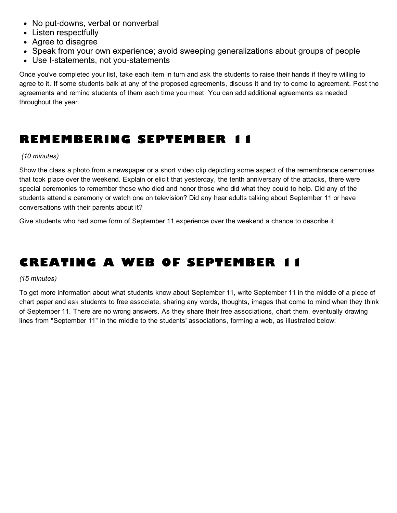- No put-downs, verbal or nonverbal
- Listen respectfully
- Agree to disagree
- Speak from your own experience; avoid sweeping generalizations about groups of people
- Use I-statements, not you-statements

Once you've completed your list, take each item in turn and ask the students to raise their hands if they're willing to agree to it. If some students balk at any of the proposed agreements, discuss it and try to come to agreement. Post the agreements and remind students of them each time you meet. You can add additional agreements as needed throughout the year.

## REMEMBERING SEPTEMBER 11

#### *(10 minutes)*

Show the class a photo from a newspaper or a short video clip depicting some aspect of the remembrance ceremonies that took place over the weekend. Explain or elicit that yesterday, the tenth anniversary of the attacks, there were special ceremonies to remember those who died and honor those who did what they could to help. Did any of the students attend a ceremony or watch one on television? Did any hear adults talking about September 11 or have conversations with their parents about it?

Give students who had some form of September 11 experience over the weekend a chance to describe it.

# CREATING A WEB OF SEPTEMBER 11

#### *(15 minutes)*

To get more information about what students know about September 11, write September 11 in the middle of a piece of chart paper and ask students to free associate, sharing any words, thoughts, images that come to mind when they think of September 11. There are no wrong answers. As they share their free associations, chart them, eventually drawing lines from "September 11" in the middle to the students' associations, forming a web, as illustrated below: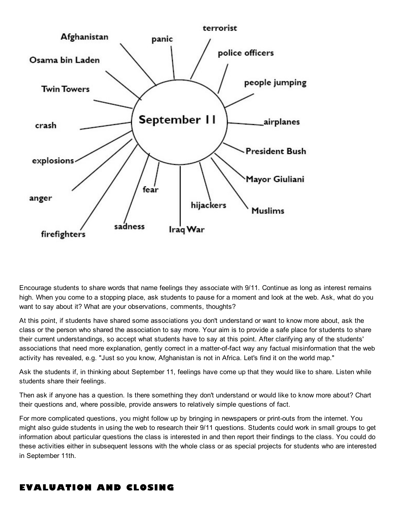

Encourage students to share words that name feelings they associate with 9/11. Continue as long as interest remains high. When you come to a stopping place, ask students to pause for a moment and look at the web. Ask, what do you want to say about it? What are your observations, comments, thoughts?

At this point, if students have shared some associations you don't understand or want to know more about, ask the class or the person who shared the association to say more. Your aim is to provide a safe place for students to share their current understandings, so accept what students have to say at this point. After clarifying any of the students' associations that need more explanation, gently correct in a matter-of-fact way any factual misinformation that the web activity has revealed, e.g. "Just so you know, Afghanistan is not in Africa. Let's find it on the world map."

Ask the students if, in thinking about September 11, feelings have come up that they would like to share. Listen while students share their feelings.

Then ask if anyone has a question. Is there something they don't understand or would like to know more about? Chart their questions and, where possible, provide answers to relatively simple questions of fact.

For more complicated questions, you might follow up by bringing in newspapers or print-outs from the internet. You might also guide students in using the web to research their 9/11 questions. Students could work in small groups to get information about particular questions the class is interested in and then report their findings to the class. You could do these activities either in subsequent lessons with the whole class or as special projects for students who are interested in September 11th.

### EVALUATION AND CLOSING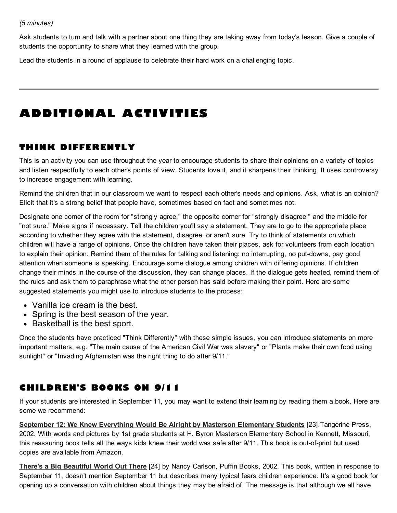Ask students to turn and talk with a partner about one thing they are taking away from today's lesson. Give a couple of students the opportunity to share what they learned with the group.

Lead the students in a round of applause to celebrate their hard work on a challenging topic.

# ADDITIONAL ACTIVITIES

## THINK DIFFERENTLY

This is an activity you can use throughout the year to encourage students to share their opinions on a variety of topics and listen respectfully to each other's points of view. Students love it, and it sharpens their thinking. It uses controversy to increase engagement with learning.

Remind the children that in our classroom we want to respect each other's needs and opinions. Ask, what is an opinion? Elicit that it's a strong belief that people have, sometimes based on fact and sometimes not.

Designate one corner of the room for "strongly agree," the opposite corner for "strongly disagree," and the middle for "not sure." Make signs if necessary. Tell the children you'll say a statement. They are to go to the appropriate place according to whether they agree with the statement, disagree, or aren't sure. Try to think of statements on which children will have a range of opinions. Once the children have taken their places, ask for volunteers from each location to explain their opinion. Remind them of the rules for talking and listening: no interrupting, no put-downs, pay good attention when someone is speaking. Encourage some dialogue among children with differing opinions. If children change their minds in the course of the discussion, they can change places. If the dialogue gets heated, remind them of the rules and ask them to paraphrase what the other person has said before making their point. Here are some suggested statements you might use to introduce students to the process:

- Vanilla ice cream is the best.
- Spring is the best season of the year.
- Basketball is the best sport.

Once the students have practiced "Think Differently" with these simple issues, you can introduce statements on more important matters, e.g. "The main cause of the American Civil War was slavery" or "Plants make their own food using sunlight" or "Invading Afghanistan was the right thing to do after 9/11."

## CHILDREN'S BOOKS ON 9/11

If your students are interested in September 11, you may want to extend their learning by reading them a book. Here are some we recommend:

September 12: We Knew Everything Would Be Alright by Masterson [Elementary](http://www.amazon.com/September-12th-Everything-Would-Right/dp/043944246X) Students [23].Tangerine Press, 2002. With words and pictures by 1st grade students at H. Byron Masterson Elementary School in Kennett, Missouri, this reassuring book tells all the ways kids knew their world was safe after 9/11. This book is out-of-print but used copies are available from Amazon.

There's a Big [Beautiful](http://www.amazon.com/Theres-Big-Beautiful-World-There/dp/0142401846/ref=sr_1_1?s=books&ie=UTF8&qid=1314108868&sr=1-1) World Out There [24] by Nancy Carlson, Puffin Books, 2002. This book, written in response to September 11, doesn't mention September 11 but describes many typical fears children experience. It's a good book for opening up a conversation with children about things they may be afraid of. The message is that although we all have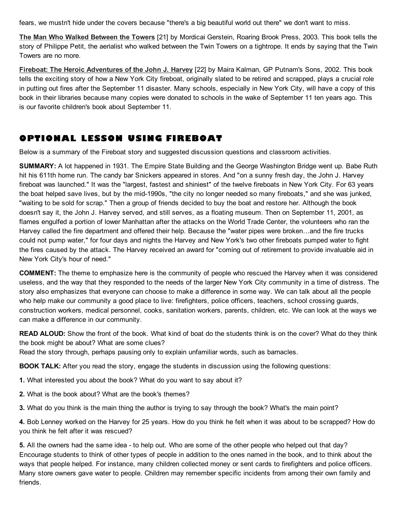fears, we mustn't hide under the covers because "there's a big beautiful world out there" we don't want to miss.

The Man Who Walked [Between](http://www.amazon.com/Man-Who-Walked-Between-Towers/dp/031236878X/ref=sr_1_1?s=books&ie=UTF8&qid=1314108914&sr=1-1) the Towers [21] by Mordicai Gerstein, Roaring Brook Press, 2003. This book tells the story of Philippe Petit, the aerialist who walked between the Twin Towers on a tightrope. It ends by saying that the Twin Towers are no more.

Fireboat: The Heroic [Adventures](http://www.amazon.com/FIREBOAT-Heroic-Adventures-Harvey-Globe-Horn/dp/0399239537) of the John J. Harvey [22] by Maira Kalman, GP Putnam's Sons, 2002. This book tells the exciting story of how a New York City fireboat, originally slated to be retired and scrapped, plays a crucial role in putting out fires after the September 11 disaster. Many schools, especially in New York City, will have a copy of this book in their libraries because many copies were donated to schools in the wake of September 11 ten years ago. This is our favorite children's book about September 11.

### OPTIONAL LESSON USING FIREBOAT

Below is a summary of the Fireboat story and suggested discussion questions and classroom activities.

SUMMARY: A lot happened in 1931. The Empire State Building and the George Washington Bridge went up. Babe Ruth hit his 611th home run. The candy bar Snickers appeared in stores. And "on a sunny fresh day, the John J. Harvey fireboat was launched." It was the "largest, fastest and shiniest" of the twelve fireboats in New York City. For 63 years the boat helped save lives, but by the mid-1990s, "the city no longer needed so many fireboats," and she was junked, "waiting to be sold for scrap." Then a group of friends decided to buy the boat and restore her. Although the book doesn't say it, the John J. Harvey served, and still serves, as a floating museum. Then on September 11, 2001, as flames engulfed a portion of lower Manhattan after the attacks on the World Trade Center, the volunteers who ran the Harvey called the fire department and offered their help. Because the "water pipes were broken…and the fire trucks could not pump water," for four days and nights the Harvey and New York's two other fireboats pumped water to fight the fires caused by the attack. The Harvey received an award for "coming out of retirement to provide invaluable aid in New York City's hour of need."

COMMENT: The theme to emphasize here is the community of people who rescued the Harvey when it was considered useless, and the way that they responded to the needs of the larger New York City community in a time of distress. The story also emphasizes that everyone can choose to make a difference in some way. We can talk about all the people who help make our community a good place to live: firefighters, police officers, teachers, school crossing guards, construction workers, medical personnel, cooks, sanitation workers, parents, children, etc. We can look at the ways we can make a difference in our community.

READ ALOUD: Show the front of the book. What kind of boat do the students think is on the cover? What do they think the book might be about? What are some clues?

Read the story through, perhaps pausing only to explain unfamiliar words, such as barnacles.

BOOK TALK: After you read the story, engage the students in discussion using the following questions:

1. What interested you about the book? What do you want to say about it?

2. What is the book about? What are the book's themes?

3. What do you think is the main thing the author is trying to say through the book? What's the main point?

4. Bob Lenney worked on the Harvey for 25 years. How do you think he felt when it was about to be scrapped? How do you think he felt after it was rescued?

5. All the owners had the same idea - to help out. Who are some of the other people who helped out that day? Encourage students to think of other types of people in addition to the ones named in the book, and to think about the ways that people helped. For instance, many children collected money or sent cards to firefighters and police officers. Many store owners gave water to people. Children may remember specific incidents from among their own family and friends.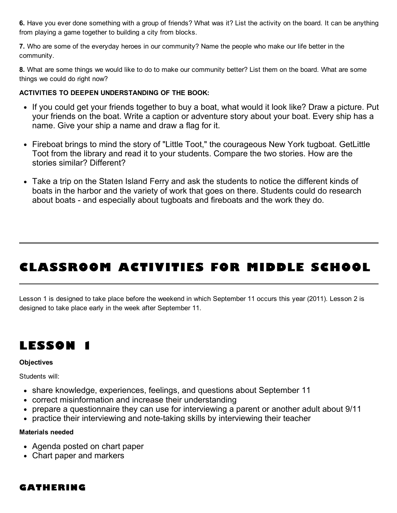6. Have you ever done something with a group of friends? What was it? List the activity on the board. It can be anything from playing a game together to building a city from blocks.

7. Who are some of the everyday heroes in our community? Name the people who make our life better in the community.

8. What are some things we would like to do to make our community better? List them on the board. What are some things we could do right now?

#### ACTIVITIES TO DEEPEN UNDERSTANDING OF THE BOOK:

- If you could get your friends together to buy a boat, what would it look like? Draw a picture. Put your friends on the boat. Write a caption or adventure story about your boat. Every ship has a name. Give your ship a name and draw a flag for it.
- Fireboat brings to mind the story of "Little Toot," the courageous New York tugboat. GetLittle Toot from the library and read it to your students. Compare the two stories. How are the stories similar? Different?
- Take a trip on the Staten Island Ferry and ask the students to notice the different kinds of boats in the harbor and the variety of work that goes on there. Students could do research about boats - and especially about tugboats and fireboats and the work they do.

# CLASSROOM ACTIVITIES FOR MIDDLE SCHOOL

Lesson 1 is designed to take place before the weekend in which September 11 occurs this year (2011). Lesson 2 is designed to take place early in the week after September 11.



#### **Objectives**

Students will:

- share knowledge, experiences, feelings, and questions about September 11
- correct misinformation and increase their understanding
- prepare a questionnaire they can use for interviewing a parent or another adult about 9/11
- practice their interviewing and note-taking skills by interviewing their teacher

#### Materials needed

- Agenda posted on chart paper
- Chart paper and markers

### GATHERING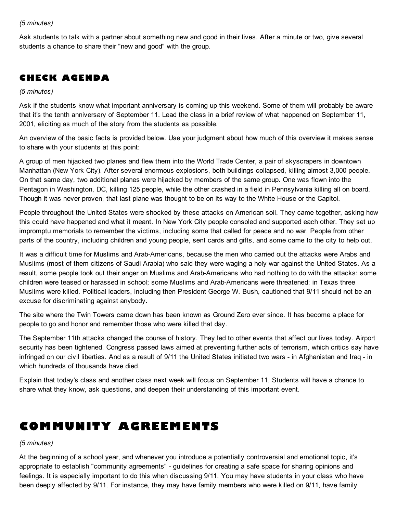#### *(5 minutes)*

Ask students to talk with a partner about something new and good in their lives. After a minute or two, give several students a chance to share their "new and good" with the group.

### CHECK AGENDA

#### *(5 minutes)*

Ask if the students know what important anniversary is coming up this weekend. Some of them will probably be aware that it's the tenth anniversary of September 11. Lead the class in a brief review of what happened on September 11, 2001, eliciting as much of the story from the students as possible.

An overview of the basic facts is provided below. Use your judgment about how much of this overview it makes sense to share with your students at this point:

A group of men hijacked two planes and flew them into the World Trade Center, a pair of skyscrapers in downtown Manhattan (New York City). After several enormous explosions, both buildings collapsed, killing almost 3,000 people. On that same day, two additional planes were hijacked by members of the same group. One was flown into the Pentagon in Washington, DC, killing 125 people, while the other crashed in a field in Pennsylvania killing all on board. Though it was never proven, that last plane was thought to be on its way to the White House or the Capitol.

People throughout the United States were shocked by these attacks on American soil. They came together, asking how this could have happened and what it meant. In New York City people consoled and supported each other. They set up impromptu memorials to remember the victims, including some that called for peace and no war. People from other parts of the country, including children and young people, sent cards and gifts, and some came to the city to help out.

It was a difficult time for Muslims and Arab-Americans, because the men who carried out the attacks were Arabs and Muslims (most of them citizens of Saudi Arabia) who said they were waging a holy war against the United States. As a result, some people took out their anger on Muslims and Arab-Americans who had nothing to do with the attacks: some children were teased or harassed in school; some Muslims and Arab-Americans were threatened; in Texas three Muslims were killed. Political leaders, including then President George W. Bush, cautioned that 9/11 should not be an excuse for discriminating against anybody.

The site where the Twin Towers came down has been known as Ground Zero ever since. It has become a place for people to go and honor and remember those who were killed that day.

The September 11th attacks changed the course of history. They led to other events that affect our lives today. Airport security has been tightened. Congress passed laws aimed at preventing further acts of terrorism, which critics say have infringed on our civil liberties. And as a result of 9/11 the United States initiated two wars - in Afghanistan and Iraq - in which hundreds of thousands have died.

Explain that today's class and another class next week will focus on September 11. Students will have a chance to share what they know, ask questions, and deepen their understanding of this important event.

## COMMUNITY AGREEMENTS

#### *(5 minutes)*

At the beginning of a school year, and whenever you introduce a potentially controversial and emotional topic, it's appropriate to establish "community agreements" - guidelines for creating a safe space for sharing opinions and feelings. It is especially important to do this when discussing 9/11. You may have students in your class who have been deeply affected by 9/11. For instance, they may have family members who were killed on 9/11, have family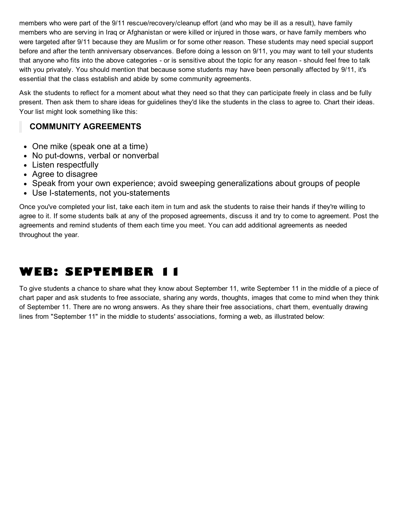members who were part of the 9/11 rescue/recovery/cleanup effort (and who may be ill as a result), have family members who are serving in Iraq or Afghanistan or were killed or injured in those wars, or have family members who were targeted after 9/11 because they are Muslim or for some other reason. These students may need special support before and after the tenth anniversary observances. Before doing a lesson on 9/11, you may want to tell your students that anyone who fits into the above categories - or is sensitive about the topic for any reason - should feel free to talk with you privately. You should mention that because some students may have been personally affected by 9/11, it's essential that the class establish and abide by some community agreements.

Ask the students to reflect for a moment about what they need so that they can participate freely in class and be fully present. Then ask them to share ideas for guidelines they'd like the students in the class to agree to. Chart their ideas. Your list might look something like this:

### COMMUNITY AGREEMENTS

- One mike (speak one at a time)
- No put-downs, verbal or nonverbal
- Listen respectfully
- Agree to disagree
- Speak from your own experience; avoid sweeping generalizations about groups of people
- Use I-statements, not you-statements

Once you've completed your list, take each item in turn and ask the students to raise their hands if they're willing to agree to it. If some students balk at any of the proposed agreements, discuss it and try to come to agreement. Post the agreements and remind students of them each time you meet. You can add additional agreements as needed throughout the year.

## WEB: SEPTEMBER 11

To give students a chance to share what they know about September 11, write September 11 in the middle of a piece of chart paper and ask students to free associate, sharing any words, thoughts, images that come to mind when they think of September 11. There are no wrong answers. As they share their free associations, chart them, eventually drawing lines from "September 11" in the middle to students' associations, forming a web, as illustrated below: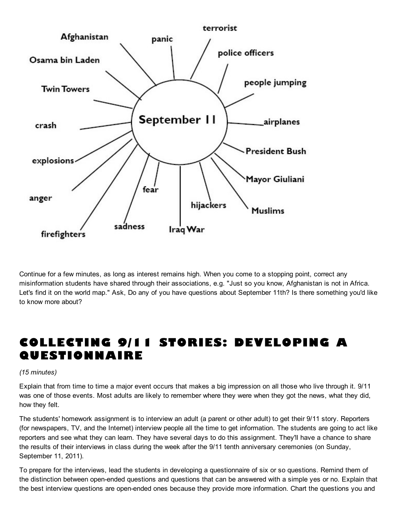

Continue for a few minutes, as long as interest remains high. When you come to a stopping point, correct any misinformation students have shared through their associations, e.g. "Just so you know, Afghanistan is not in Africa. Let's find it on the world map." Ask, Do any of you have questions about September 11th? Is there something you'd like to know more about?

# COLLECTING 9/11 STORIES: DEVELOPING A **QUESTIONNAIRE**

#### *(15 minutes)*

Explain that from time to time a major event occurs that makes a big impression on all those who live through it. 9/11 was one of those events. Most adults are likely to remember where they were when they got the news, what they did, how they felt.

The students' homework assignment is to interview an adult (a parent or other adult) to get their 9/11 story. Reporters (for newspapers, TV, and the Internet) interview people all the time to get information. The students are going to act like reporters and see what they can learn. They have several days to do this assignment. They'll have a chance to share the results of their interviews in class during the week after the 9/11 tenth anniversary ceremonies (on Sunday, September 11, 2011).

To prepare for the interviews, lead the students in developing a questionnaire of six or so questions. Remind them of the distinction between open-ended questions and questions that can be answered with a simple yes or no. Explain that the best interview questions are open-ended ones because they provide more information. Chart the questions you and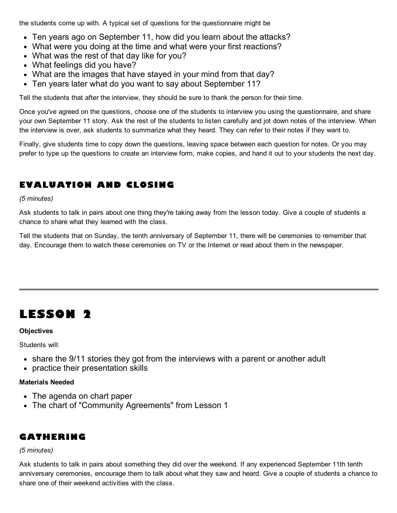the students come up with. A typical set of questions for the questionnaire might be

- Ten years ago on September 11, how did you learn about the attacks?
- What were you doing at the time and what were your first reactions?
- What was the rest of that day like for you?
- What feelings did you have?
- What are the images that have stayed in your mind from that day?
- Ten years later what do you want to say about September 11?

Tell the students that after the interview, they should be sure to thank the person for their time.

Once you've agreed on the questions, choose one of the students to interview you using the questionnaire, and share your own September 11 story. Ask the rest of the students to listen carefully and jot down notes of the interview. When the interview is over, ask students to summarize what they heard. They can refer to their notes if they want to.

Finally, give students time to copy down the questions, leaving space between each question for notes. Or you may prefer to type up the questions to create an interview form, make copies, and hand it out to your students the next day.

## EVALUATION AND CLOSING

*(5 minutes)*

Ask students to talk in pairs about one thing they're taking away from the lesson today. Give a couple of students a chance to share what they learned with the class.

Tell the students that on Sunday, the tenth anniversary of September 11, there will be ceremonies to remember that day. Encourage them to watch these ceremonies on TV or the Internet or read about them in the newspaper.

## LESSON 2

#### **Objectives**

Students will:

- share the 9/11 stories they got from the interviews with a parent or another adult
- practice their presentation skills

#### Materials Needed

- The agenda on chart paper
- The chart of "Community Agreements" from Lesson 1

### GATHERING

#### *(5 minutes)*

Ask students to talk in pairs about something they did over the weekend. If any experienced September 11th tenth anniversary ceremonies, encourage them to talk about what they saw and heard. Give a couple of students a chance to share one of their weekend activities with the class.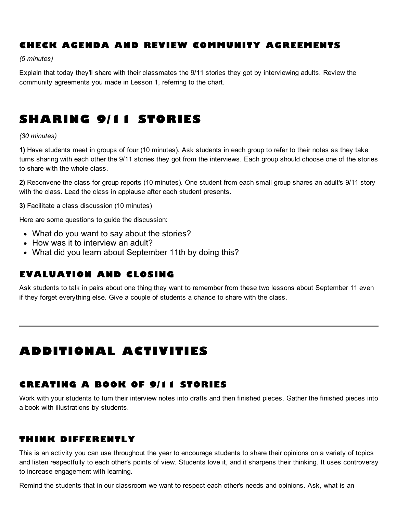## CHECK AGENDA AND REVIEW COMMUNITY AGREEMENTS

*(5 minutes)*

Explain that today they'll share with their classmates the 9/11 stories they got by interviewing adults. Review the community agreements you made in Lesson 1, referring to the chart.

# SHARING 9/11 STORIES

#### *(30 minutes)*

1) Have students meet in groups of four (10 minutes). Ask students in each group to refer to their notes as they take turns sharing with each other the 9/11 stories they got from the interviews. Each group should choose one of the stories to share with the whole class.

2) Reconvene the class for group reports (10 minutes). One student from each small group shares an adult's 9/11 story with the class. Lead the class in applause after each student presents.

3) Facilitate a class discussion (10 minutes)

Here are some questions to guide the discussion:

- What do you want to say about the stories?
- How was it to interview an adult?
- What did you learn about September 11th by doing this?

### EVALUATION AND CLOSING

Ask students to talk in pairs about one thing they want to remember from these two lessons about September 11 even if they forget everything else. Give a couple of students a chance to share with the class.

# ADDITIONAL ACTIVITIES

### CREATING A BOOK OF 9/11 STORIES

Work with your students to turn their interview notes into drafts and then finished pieces. Gather the finished pieces into a book with illustrations by students.

### THINK DIFFERENTLY

This is an activity you can use throughout the year to encourage students to share their opinions on a variety of topics and listen respectfully to each other's points of view. Students love it, and it sharpens their thinking. It uses controversy to increase engagement with learning.

Remind the students that in our classroom we want to respect each other's needs and opinions. Ask, what is an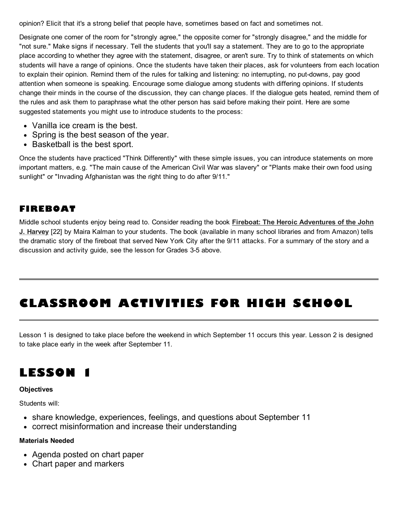opinion? Elicit that it's a strong belief that people have, sometimes based on fact and sometimes not.

Designate one corner of the room for "strongly agree," the opposite corner for "strongly disagree," and the middle for "not sure." Make signs if necessary. Tell the students that you'll say a statement. They are to go to the appropriate place according to whether they agree with the statement, disagree, or aren't sure. Try to think of statements on which students will have a range of opinions. Once the students have taken their places, ask for volunteers from each location to explain their opinion. Remind them of the rules for talking and listening: no interrupting, no put-downs, pay good attention when someone is speaking. Encourage some dialogue among students with differing opinions. If students change their minds in the course of the discussion, they can change places. If the dialogue gets heated, remind them of the rules and ask them to paraphrase what the other person has said before making their point. Here are some suggested statements you might use to introduce students to the process:

- Vanilla ice cream is the best.
- Spring is the best season of the year.
- Basketball is the best sport.

Once the students have practiced "Think Differently" with these simple issues, you can introduce statements on more important matters, e.g. "The main cause of the American Civil War was slavery" or "Plants make their own food using sunlight" or "Invading Afghanistan was the right thing to do after 9/11."

### FIREBOAT

Middle school students enjoy being read to. Consider reading the book Fireboat: The Heroic [Adventures](http://www.amazon.com/FIREBOAT-Heroic-Adventures-Harvey-Globe-Horn/dp/0399239537) of the John J. Harvey [22] by Maira Kalman to your students. The book (available in many school libraries and from Amazon) tells the dramatic story of the fireboat that served New York City after the 9/11 attacks. For a summary of the story and a discussion and activity guide, see the lesson for Grades 3-5 above.

# CLASSROOM ACTIVITIES FOR HIGH SCHOOL

Lesson 1 is designed to take place before the weekend in which September 11 occurs this year. Lesson 2 is designed to take place early in the week after September 11.

# LESSON 1

#### **Objectives**

Students will:

- share knowledge, experiences, feelings, and questions about September 11
- correct misinformation and increase their understanding

#### Materials Needed

- Agenda posted on chart paper
- Chart paper and markers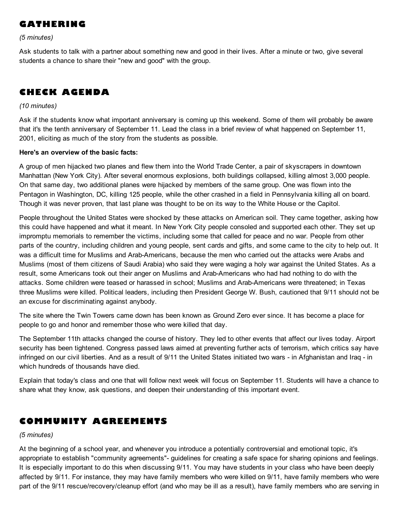## GATHERING

*(5 minutes)*

Ask students to talk with a partner about something new and good in their lives. After a minute or two, give several students a chance to share their "new and good" with the group.

## CHECK AGENDA

#### *(10 minutes)*

Ask if the students know what important anniversary is coming up this weekend. Some of them will probably be aware that it's the tenth anniversary of September 11. Lead the class in a brief review of what happened on September 11, 2001, eliciting as much of the story from the students as possible.

#### Here's an overview of the basic facts:

A group of men hijacked two planes and flew them into the World Trade Center, a pair of skyscrapers in downtown Manhattan (New York City). After several enormous explosions, both buildings collapsed, killing almost 3,000 people. On that same day, two additional planes were hijacked by members of the same group. One was flown into the Pentagon in Washington, DC, killing 125 people, while the other crashed in a field in Pennsylvania killing all on board. Though it was never proven, that last plane was thought to be on its way to the White House or the Capitol.

People throughout the United States were shocked by these attacks on American soil. They came together, asking how this could have happened and what it meant. In New York City people consoled and supported each other. They set up impromptu memorials to remember the victims, including some that called for peace and no war. People from other parts of the country, including children and young people, sent cards and gifts, and some came to the city to help out. It was a difficult time for Muslims and Arab-Americans, because the men who carried out the attacks were Arabs and Muslims (most of them citizens of Saudi Arabia) who said they were waging a holy war against the United States. As a result, some Americans took out their anger on Muslims and Arab-Americans who had had nothing to do with the attacks. Some children were teased or harassed in school; Muslims and Arab-Americans were threatened; in Texas three Muslims were killed. Political leaders, including then President George W. Bush, cautioned that 9/11 should not be an excuse for discriminating against anybody.

The site where the Twin Towers came down has been known as Ground Zero ever since. It has become a place for people to go and honor and remember those who were killed that day.

The September 11th attacks changed the course of history. They led to other events that affect our lives today. Airport security has been tightened. Congress passed laws aimed at preventing further acts of terrorism, which critics say have infringed on our civil liberties. And as a result of 9/11 the United States initiated two wars - in Afghanistan and Iraq - in which hundreds of thousands have died.

Explain that today's class and one that will follow next week will focus on September 11. Students will have a chance to share what they know, ask questions, and deepen their understanding of this important event.

### COMMUNITY AGREEMENTS

*(5 minutes)*

At the beginning of a school year, and whenever you introduce a potentially controversial and emotional topic, it's appropriate to establish "community agreements"- guidelines for creating a safe space for sharing opinions and feelings. It is especially important to do this when discussing 9/11. You may have students in your class who have been deeply affected by 9/11. For instance, they may have family members who were killed on 9/11, have family members who were part of the 9/11 rescue/recovery/cleanup effort (and who may be ill as a result), have family members who are serving in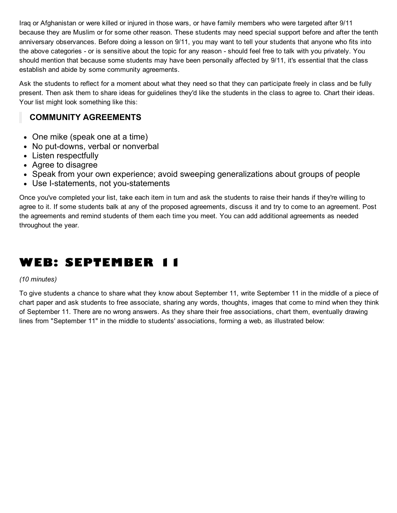Iraq or Afghanistan or were killed or injured in those wars, or have family members who were targeted after 9/11 because they are Muslim or for some other reason. These students may need special support before and after the tenth anniversary observances. Before doing a lesson on 9/11, you may want to tell your students that anyone who fits into the above categories - or is sensitive about the topic for any reason - should feel free to talk with you privately. You should mention that because some students may have been personally affected by 9/11, it's essential that the class establish and abide by some community agreements.

Ask the students to reflect for a moment about what they need so that they can participate freely in class and be fully present. Then ask them to share ideas for guidelines they'd like the students in the class to agree to. Chart their ideas. Your list might look something like this:

### COMMUNITY AGREEMENTS

- One mike (speak one at a time)
- No put-downs, verbal or nonverbal
- Listen respectfully
- Agree to disagree
- Speak from your own experience; avoid sweeping generalizations about groups of people
- Use I-statements, not you-statements

Once you've completed your list, take each item in turn and ask the students to raise their hands if they're willing to agree to it. If some students balk at any of the proposed agreements, discuss it and try to come to an agreement. Post the agreements and remind students of them each time you meet. You can add additional agreements as needed throughout the year.

# WEB: SEPTEMBER 11

#### *(10 minutes)*

To give students a chance to share what they know about September 11, write September 11 in the middle of a piece of chart paper and ask students to free associate, sharing any words, thoughts, images that come to mind when they think of September 11. There are no wrong answers. As they share their free associations, chart them, eventually drawing lines from "September 11" in the middle to students' associations, forming a web, as illustrated below: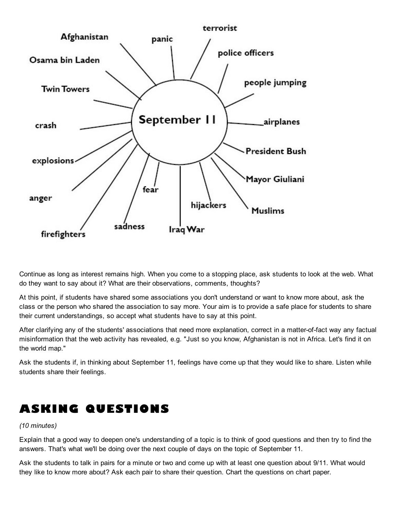

Continue as long as interest remains high. When you come to a stopping place, ask students to look at the web. What do they want to say about it? What are their observations, comments, thoughts?

At this point, if students have shared some associations you don't understand or want to know more about, ask the class or the person who shared the association to say more. Your aim is to provide a safe place for students to share their current understandings, so accept what students have to say at this point.

After clarifying any of the students' associations that need more explanation, correct in a matter-of-fact way any factual misinformation that the web activity has revealed, e.g. "Just so you know, Afghanistan is not in Africa. Let's find it on the world map."

Ask the students if, in thinking about September 11, feelings have come up that they would like to share. Listen while students share their feelings.

## ASKING QUESTIONS

#### *(10 minutes)*

Explain that a good way to deepen one's understanding of a topic is to think of good questions and then try to find the answers. That's what we'll be doing over the next couple of days on the topic of September 11.

Ask the students to talk in pairs for a minute or two and come up with at least one question about 9/11. What would they like to know more about? Ask each pair to share their question. Chart the questions on chart paper.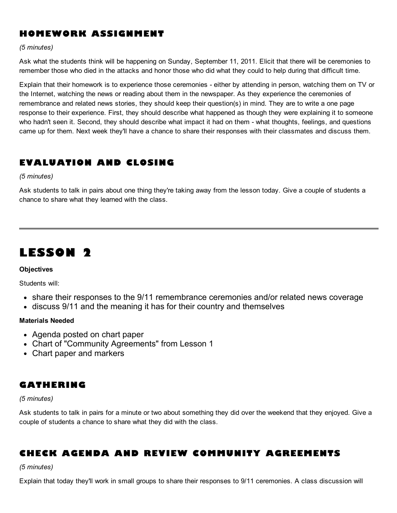### HOMEWORK ASSIGNMENT

#### *(5 minutes)*

Ask what the students think will be happening on Sunday, September 11, 2011. Elicit that there will be ceremonies to remember those who died in the attacks and honor those who did what they could to help during that difficult time.

Explain that their homework is to experience those ceremonies - either by attending in person, watching them on TV or the Internet, watching the news or reading about them in the newspaper. As they experience the ceremonies of remembrance and related news stories, they should keep their question(s) in mind. They are to write a one page response to their experience. First, they should describe what happened as though they were explaining it to someone who hadn't seen it. Second, they should describe what impact it had on them - what thoughts, feelings, and questions came up for them. Next week they'll have a chance to share their responses with their classmates and discuss them.

### EVALUATION AND CLOSING

*(5 minutes)*

Ask students to talk in pairs about one thing they're taking away from the lesson today. Give a couple of students a chance to share what they learned with the class.

## LESSON 2

#### **Objectives**

Students will:

- share their responses to the 9/11 remembrance ceremonies and/or related news coverage
- discuss 9/11 and the meaning it has for their country and themselves

#### Materials Needed

- Agenda posted on chart paper
- Chart of "Community Agreements" from Lesson 1
- Chart paper and markers

### GATHERING

#### *(5 minutes)*

Ask students to talk in pairs for a minute or two about something they did over the weekend that they enjoyed. Give a couple of students a chance to share what they did with the class.

### CHECK AGENDA AND REVIEW COMMUNITY AGREEMENTS

*(5 minutes)*

Explain that today they'll work in small groups to share their responses to 9/11 ceremonies. A class discussion will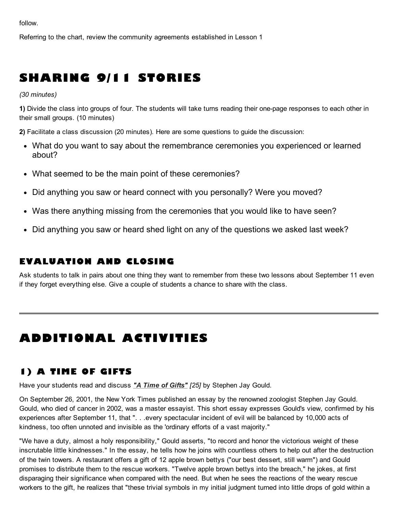follow.

Referring to the chart, review the community agreements established in Lesson 1

# SHARING 9/11 STORIES

*(30 minutes)*

1) Divide the class into groups of four. The students will take turns reading their one-page responses to each other in their small groups. (10 minutes)

2) Facilitate a class discussion (20 minutes). Here are some questions to guide the discussion:

- What do you want to say about the remembrance ceremonies you experienced or learned about?
- What seemed to be the main point of these ceremonies?
- Did anything you saw or heard connect with you personally? Were you moved?
- Was there anything missing from the ceremonies that you would like to have seen?
- Did anything you saw or heard shed light on any of the questions we asked last week?

### EVALUATION AND CLOSING

Ask students to talk in pairs about one thing they want to remember from these two lessons about September 11 even if they forget everything else. Give a couple of students a chance to share with the class.

# ADDITIONAL ACTIVITIES

## 1) A TIME OF GIFTS

Have your students read and discuss *"A Time of [Gifts"](http://www.nytimes.com/2001/09/26/opinion/a-time-of-gifts.html) [25]* by Stephen Jay Gould.

On September 26, 2001, the New York Times published an essay by the renowned zoologist Stephen Jay Gould. Gould, who died of cancer in 2002, was a master essayist. This short essay expresses Gould's view, confirmed by his experiences after September 11, that ". . .every spectacular incident of evil will be balanced by 10,000 acts of kindness, too often unnoted and invisible as the 'ordinary efforts of a vast majority."

"We have a duty, almost a holy responsibility," Gould asserts, "to record and honor the victorious weight of these inscrutable little kindnesses." In the essay, he tells how he joins with countless others to help out after the destruction of the twin towers. A restaurant offers a gift of 12 apple brown bettys ("our best dessert, still warm") and Gould promises to distribute them to the rescue workers. "Twelve apple brown bettys into the breach," he jokes, at first disparaging their significance when compared with the need. But when he sees the reactions of the weary rescue workers to the gift, he realizes that "these trivial symbols in my initial judgment turned into little drops of gold within a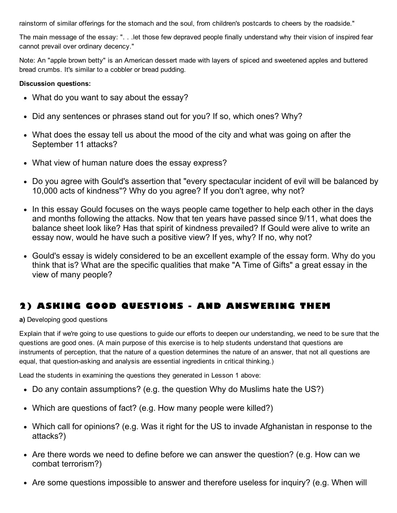rainstorm of similar offerings for the stomach and the soul, from children's postcards to cheers by the roadside."

The main message of the essay: ". . .let those few depraved people finally understand why their vision of inspired fear cannot prevail over ordinary decency."

Note: An "apple brown betty" is an American dessert made with layers of spiced and sweetened apples and buttered bread crumbs. It's similar to a cobbler or bread pudding.

#### Discussion questions:

- What do you want to say about the essay?
- Did any sentences or phrases stand out for you? If so, which ones? Why?
- What does the essay tell us about the mood of the city and what was going on after the September 11 attacks?
- What view of human nature does the essay express?
- Do you agree with Gould's assertion that "every spectacular incident of evil will be balanced by 10,000 acts of kindness"? Why do you agree? If you don't agree, why not?
- In this essay Gould focuses on the ways people came together to help each other in the days and months following the attacks. Now that ten years have passed since 9/11, what does the balance sheet look like? Has that spirit of kindness prevailed? If Gould were alive to write an essay now, would he have such a positive view? If yes, why? If no, why not?
- Gould's essay is widely considered to be an excellent example of the essay form. Why do you think that is? What are the specific qualities that make "A Time of Gifts" a great essay in the view of many people?

## 2) ASKING GOOD QUESTIONS - AND ANSWERING THEM

a) Developing good questions

Explain that if we're going to use questions to guide our efforts to deepen our understanding, we need to be sure that the questions are good ones. (A main purpose of this exercise is to help students understand that questions are instruments of perception, that the nature of a question determines the nature of an answer, that not all questions are equal, that question-asking and analysis are essential ingredients in critical thinking.)

Lead the students in examining the questions they generated in Lesson 1 above:

- Do any contain assumptions? (e.g. the question Why do Muslims hate the US?)
- Which are questions of fact? (e.g. How many people were killed?)
- Which call for opinions? (e.g. Was it right for the US to invade Afghanistan in response to the attacks?)
- Are there words we need to define before we can answer the question? (e.g. How can we combat terrorism?)
- Are some questions impossible to answer and therefore useless for inquiry? (e.g. When will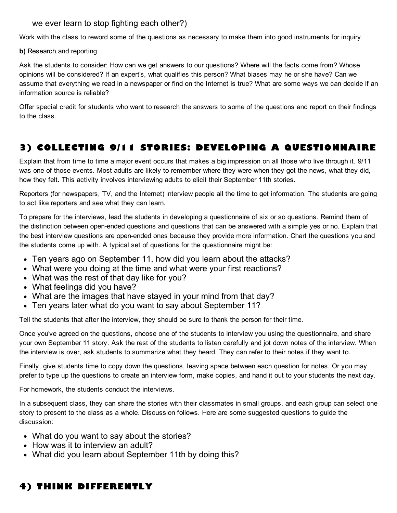### we ever learn to stop fighting each other?)

Work with the class to reword some of the questions as necessary to make them into good instruments for inquiry.

b) Research and reporting

Ask the students to consider: How can we get answers to our questions? Where will the facts come from? Whose opinions will be considered? If an expert's, what qualifies this person? What biases may he or she have? Can we assume that everything we read in a newspaper or find on the Internet is true? What are some ways we can decide if an information source is reliable?

Offer special credit for students who want to research the answers to some of the questions and report on their findings to the class.

## 3) COLLECTING 9/11 STORIES: DEVELOPING A QUESTIONNAIRE

Explain that from time to time a major event occurs that makes a big impression on all those who live through it. 9/11 was one of those events. Most adults are likely to remember where they were when they got the news, what they did, how they felt. This activity involves interviewing adults to elicit their September 11th stories.

Reporters (for newspapers, TV, and the Internet) interview people all the time to get information. The students are going to act like reporters and see what they can learn.

To prepare for the interviews, lead the students in developing a questionnaire of six or so questions. Remind them of the distinction between open-ended questions and questions that can be answered with a simple yes or no. Explain that the best interview questions are open-ended ones because they provide more information. Chart the questions you and the students come up with. A typical set of questions for the questionnaire might be:

- Ten years ago on September 11, how did you learn about the attacks?
- What were you doing at the time and what were your first reactions?
- What was the rest of that day like for you?
- What feelings did you have?
- What are the images that have stayed in your mind from that day?
- Ten years later what do you want to say about September 11?

Tell the students that after the interview, they should be sure to thank the person for their time.

Once you've agreed on the questions, choose one of the students to interview you using the questionnaire, and share your own September 11 story. Ask the rest of the students to listen carefully and jot down notes of the interview. When the interview is over, ask students to summarize what they heard. They can refer to their notes if they want to.

Finally, give students time to copy down the questions, leaving space between each question for notes. Or you may prefer to type up the questions to create an interview form, make copies, and hand it out to your students the next day.

For homework, the students conduct the interviews.

In a subsequent class, they can share the stories with their classmates in small groups, and each group can select one story to present to the class as a whole. Discussion follows. Here are some suggested questions to guide the discussion:

- What do you want to say about the stories?
- How was it to interview an adult?
- What did you learn about September 11th by doing this?

## 4) THINK DIFFERENTLY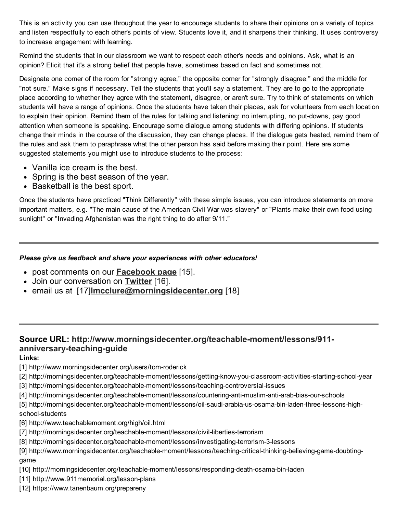This is an activity you can use throughout the year to encourage students to share their opinions on a variety of topics and listen respectfully to each other's points of view. Students love it, and it sharpens their thinking. It uses controversy to increase engagement with learning.

Remind the students that in our classroom we want to respect each other's needs and opinions. Ask, what is an opinion? Elicit that it's a strong belief that people have, sometimes based on fact and sometimes not.

Designate one corner of the room for "strongly agree," the opposite corner for "strongly disagree," and the middle for "not sure." Make signs if necessary. Tell the students that you'll say a statement. They are to go to the appropriate place according to whether they agree with the statement, disagree, or aren't sure. Try to think of statements on which students will have a range of opinions. Once the students have taken their places, ask for volunteers from each location to explain their opinion. Remind them of the rules for talking and listening: no interrupting, no put-downs, pay good attention when someone is speaking. Encourage some dialogue among students with differing opinions. If students change their minds in the course of the discussion, they can change places. If the dialogue gets heated, remind them of the rules and ask them to paraphrase what the other person has said before making their point. Here are some suggested statements you might use to introduce students to the process:

- Vanilla ice cream is the best.
- Spring is the best season of the year.
- Basketball is the best sport.

Once the students have practiced "Think Differently" with these simple issues, you can introduce statements on more important matters, e.g. "The main cause of the American Civil War was slavery" or "Plants make their own food using sunlight" or "Invading Afghanistan was the right thing to do after 9/11."

#### *Please give us feedback and share your experiences with other educators!*

- post comments on our **[Facebook](http://www.facebook.com/pages/Morningside-Center-for-Teaching-Social-Responsibility/197267860293889) page** [15].
- Join our conversation on [Twitter](http://twitter.com/#!/MorningsideCtr) [16].
- email us at [17] mcclure@morningsidecenter.org [18]

### Source URL: [http://www.morningsidecenter.org/teachable-moment/lessons/911](http://www.morningsidecenter.org/teachable-moment/lessons/911-anniversary-teaching-guide) anniversary-teaching-guide

Links:

- [1] http://www.morningsidecenter.org/users/tom-roderick
- [2] http://morningsidecenter.org/teachable-moment/lessons/getting-know-you-classroom-activities-starting-school-year
- [3] http://morningsidecenter.org/teachable-moment/lessons/teaching-controversial-issues
- [4] http://morningsidecenter.org/teachable-moment/lessons/countering-anti-muslim-anti-arab-bias-our-schools

[5] http://morningsidecenter.org/teachable-moment/lessons/oil-saudi-arabia-us-osama-bin-laden-three-lessons-highschool-students

- [6] http://www.teachablemoment.org/high/oil.html
- [7] http://morningsidecenter.org/teachable-moment/lessons/civil-liberties-terrorism
- [8] http://morningsidecenter.org/teachable-moment/lessons/investigating-terrorism-3-lessons

[9] http://www.morningsidecenter.org/teachable-moment/lessons/teaching-critical-thinking-believing-game-doubtinggame

- [10] http://morningsidecenter.org/teachable-moment/lessons/responding-death-osama-bin-laden
- [11] http://www.911memorial.org/lesson-plans
- [12] https://www.tanenbaum.org/prepareny